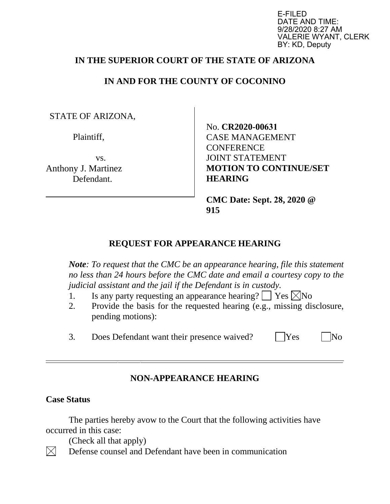E-FILED DATE AND TIME: 9/28/2020 8:27 AM VALERIE WYANT, CLERK BY: KD, Deputy

## **IN THE SUPERIOR COURT OF THE STATE OF ARIZONA**

## **IN AND FOR THE COUNTY OF COCONINO**

STATE OF ARIZONA,

Plaintiff,

vs. Anthony J. Martinez Defendant.

No. **CR2020-00631** CASE MANAGEMENT **CONFERENCE** JOINT STATEMENT **MOTION TO CONTINUE/SET HEARING** 

**CMC Date: Sept. 28, 2020 @ 915** 

## **REQUEST FOR APPEARANCE HEARING**

*Note: To request that the CMC be an appearance hearing, file this statement no less than 24 hours before the CMC date and email a courtesy copy to the judicial assistant and the jail if the Defendant is in custody.*

- 1. Is any party requesting an appearance hearing?  $\Box$  Yes  $\boxtimes$  No
- 2. Provide the basis for the requested hearing (e.g., missing disclosure, pending motions):
- 3. Does Defendant want their presence waived? | Yes | No

## **NON-APPEARANCE HEARING**

#### **Case Status**

The parties hereby avow to the Court that the following activities have occurred in this case:

(Check all that apply)

 $\boxtimes$ Defense counsel and Defendant have been in communication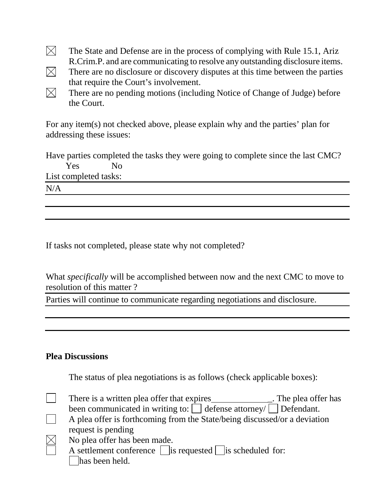- $\boxtimes$ The State and Defense are in the process of complying with Rule 15.1, Ariz R.Crim.P. and are communicating to resolve any outstanding disclosure items.
- $\boxtimes$ There are no disclosure or discovery disputes at this time between the parties that require the Court's involvement.
- $\boxtimes$ There are no pending motions (including Notice of Change of Judge) before the Court.

For any item(s) not checked above, please explain why and the parties' plan for addressing these issues:

Have parties completed the tasks they were going to complete since the last CMC? Yes No

List completed tasks:

 $N/A$ 

If tasks not completed, please state why not completed?

What *specifically* will be accomplished between now and the next CMC to move to resolution of this matter ?

Parties will continue to communicate regarding negotiations and disclosure.

#### **Plea Discussions**

The status of plea negotiations is as follows (check applicable boxes):

- There is a written plea offer that expires \_\_\_\_\_\_\_\_\_\_\_\_\_\_\_. The plea offer has been communicated in writing to:  $\Box$  defense attorney/  $\Box$  Defendant.
- $\vert \ \ \vert$ A plea offer is forthcoming from the State/being discussed/or a deviation request is pending
- $\boxtimes$ No plea offer has been made.
	- A settlement conference  $\Box$  is requested  $\Box$  is scheduled for: | has been held.